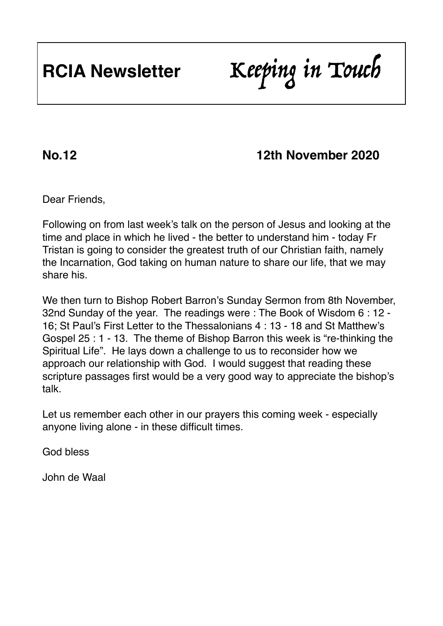## **No.12 12th November 2020**

Dear Friends,

Following on from last week's talk on the person of Jesus and looking at the time and place in which he lived - the better to understand him - today Fr Tristan is going to consider the greatest truth of our Christian faith, namely the Incarnation, God taking on human nature to share our life, that we may share his.

We then turn to Bishop Robert Barron's Sunday Sermon from 8th November, 32nd Sunday of the year. The readings were : The Book of Wisdom 6 : 12 - 16; St Paul's First Letter to the Thessalonians 4 : 13 - 18 and St Matthew's Gospel 25 : 1 - 13. The theme of Bishop Barron this week is "re-thinking the Spiritual Life". He lays down a challenge to us to reconsider how we approach our relationship with God. I would suggest that reading these scripture passages first would be a very good way to appreciate the bishop's talk.

Let us remember each other in our prayers this coming week - especially anyone living alone - in these difficult times.

God bless

John de Waal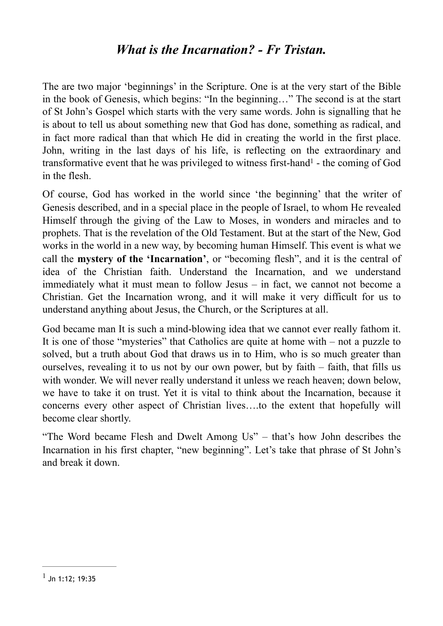### <span id="page-1-1"></span>*What is the Incarnation? - Fr Tristan.*

The are two major 'beginnings' in the Scripture. One is at the very start of the Bible in the book of Genesis, which begins: "In the beginning…" The second is at the start of St John's Gospel which starts with the very same words. John is signalling that he is about to tell us about something new that God has done, something as radical, and in fact more radical than that which He did in creating the world in the first place. John, writing in the last days of his life, is reflecting on the extraordinary and transformative event that he was privilege[d](#page-1-0) to witness first-hand $<sup>1</sup>$  $<sup>1</sup>$  $<sup>1</sup>$  - the coming of God</sup> in the flesh.

Of course, God has worked in the world since 'the beginning' that the writer of Genesis described, and in a special place in the people of Israel, to whom He revealed Himself through the giving of the Law to Moses, in wonders and miracles and to prophets. That is the revelation of the Old Testament. But at the start of the New, God works in the world in a new way, by becoming human Himself. This event is what we call the **mystery of the 'Incarnation'**, or "becoming flesh", and it is the central of idea of the Christian faith. Understand the Incarnation, and we understand immediately what it must mean to follow Jesus – in fact, we cannot not become a Christian. Get the Incarnation wrong, and it will make it very difficult for us to understand anything about Jesus, the Church, or the Scriptures at all.

God became man It is such a mind-blowing idea that we cannot ever really fathom it. It is one of those "mysteries" that Catholics are quite at home with – not a puzzle to solved, but a truth about God that draws us in to Him, who is so much greater than ourselves, revealing it to us not by our own power, but by faith – faith, that fills us with wonder. We will never really understand it unless we reach heaven; down below, we have to take it on trust. Yet it is vital to think about the Incarnation, because it concerns every other aspect of Christian lives….to the extent that hopefully will become clear shortly.

"The Word became Flesh and Dwelt Among Us" – that's how John describes the Incarnation in his first chapter, "new beginning". Let's take that phrase of St John's and break it down.

<span id="page-1-0"></span> $<sup>1</sup>$  $<sup>1</sup>$  $<sup>1</sup>$  Jn 1:12; 19:35</sup>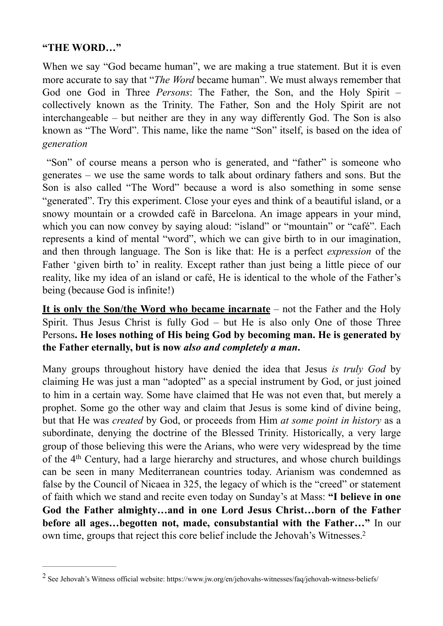#### **"THE WORD…"**

When we say "God became human", we are making a true statement. But it is even more accurate to say that "*The Word* became human". We must always remember that God one God in Three *Persons*: The Father, the Son, and the Holy Spirit – collectively known as the Trinity. The Father, Son and the Holy Spirit are not interchangeable – but neither are they in any way differently God. The Son is also known as "The Word". This name, like the name "Son" itself, is based on the idea of *generation*

 "Son" of course means a person who is generated, and "father" is someone who generates – we use the same words to talk about ordinary fathers and sons. But the Son is also called "The Word" because a word is also something in some sense "generated". Try this experiment. Close your eyes and think of a beautiful island, or a snowy mountain or a crowded café in Barcelona. An image appears in your mind, which you can now convey by saying aloud: "island" or "mountain" or "café". Each represents a kind of mental "word", which we can give birth to in our imagination, and then through language. The Son is like that: He is a perfect *expression* of the Father 'given birth to' in reality. Except rather than just being a little piece of our reality, like my idea of an island or café, He is identical to the whole of the Father's being (because God is infinite!)

**It is only the Son/the Word who became incarnate** – not the Father and the Holy Spirit. Thus Jesus Christ is fully God – but He is also only One of those Three Persons**. He loses nothing of His being God by becoming man. He is generated by the Father eternally, but is now** *also and completely a man***.**

Many groups throughout history have denied the idea that Jesus *is truly God* by claiming He was just a man "adopted" as a special instrument by God, or just joined to him in a certain way. Some have claimed that He was not even that, but merely a prophet. Some go the other way and claim that Jesus is some kind of divine being, but that He was *created* by God, or proceeds from Him *at some point in history* as a subordinate, denying the doctrine of the Blessed Trinity. Historically, a very large group of those believing this were the Arians, who were very widespread by the time of the 4th Century, had a large hierarchy and structures, and whose church buildings can be seen in many Mediterranean countries today. Arianism was condemned as false by the Council of Nicaea in 325, the legacy of which is the "creed" or statement of faith which we stand and recite even today on Sunday's at Mass: **"I believe in one God the Father almighty…and in one Lord Jesus Christ…born of the Father before all ages…begotten not, made, consubstantial with the Father…"** In our own time, groups that reject this core belief include the Jehovah's Witnesses[.2](#page-2-0)

<span id="page-2-1"></span><span id="page-2-0"></span><sup>&</sup>lt;sup>[2](#page-2-1)</sup> See Jehovah's Witness official website: https://www.jw.org/en/jehovahs-witnesses/faq/jehovah-witness-beliefs/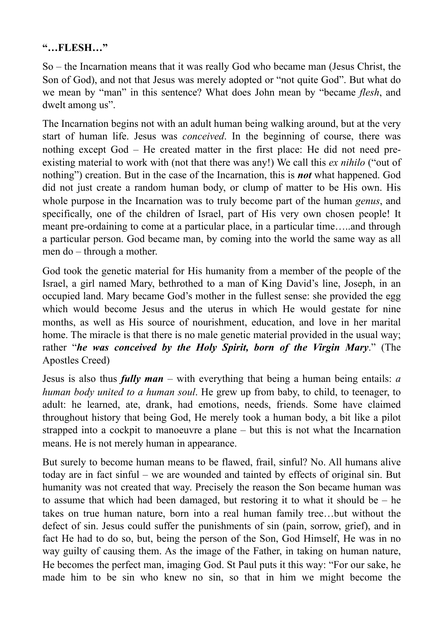#### **"…FLESH…"**

So – the Incarnation means that it was really God who became man (Jesus Christ, the Son of God), and not that Jesus was merely adopted or "not quite God". But what do we mean by "man" in this sentence? What does John mean by "became *flesh*, and dwelt among us".

The Incarnation begins not with an adult human being walking around, but at the very start of human life. Jesus was *conceived*. In the beginning of course, there was nothing except God – He created matter in the first place: He did not need preexisting material to work with (not that there was any!) We call this *ex nihilo* ("out of nothing") creation. But in the case of the Incarnation, this is *not* what happened. God did not just create a random human body, or clump of matter to be His own. His whole purpose in the Incarnation was to truly become part of the human *genus*, and specifically, one of the children of Israel, part of His very own chosen people! It meant pre-ordaining to come at a particular place, in a particular time…..and through a particular person. God became man, by coming into the world the same way as all men do – through a mother.

God took the genetic material for His humanity from a member of the people of the Israel, a girl named Mary, bethrothed to a man of King David's line, Joseph, in an occupied land. Mary became God's mother in the fullest sense: she provided the egg which would become Jesus and the uterus in which He would gestate for nine months, as well as His source of nourishment, education, and love in her marital home. The miracle is that there is no male genetic material provided in the usual way; rather "*he was conceived by the Holy Spirit, born of the Virgin Mary*." (The Apostles Creed)

Jesus is also thus *fully man* – with everything that being a human being entails: *a human body united to a human soul*. He grew up from baby, to child, to teenager, to adult: he learned, ate, drank, had emotions, needs, friends. Some have claimed throughout history that being God, He merely took a human body, a bit like a pilot strapped into a cockpit to manoeuvre a plane – but this is not what the Incarnation means. He is not merely human in appearance.

But surely to become human means to be flawed, frail, sinful? No. All humans alive today are in fact sinful – we are wounded and tainted by effects of original sin. But humanity was not created that way. Precisely the reason the Son became human was to assume that which had been damaged, but restoring it to what it should be – he takes on true human nature, born into a real human family tree…but without the defect of sin. Jesus could suffer the punishments of sin (pain, sorrow, grief), and in fact He had to do so, but, being the person of the Son, God Himself, He was in no way guilty of causing them. As the image of the Father, in taking on human nature, He becomes the perfect man, imaging God. St Paul puts it this way: "For our sake, he made him to be sin who knew no sin, so that in him we might become the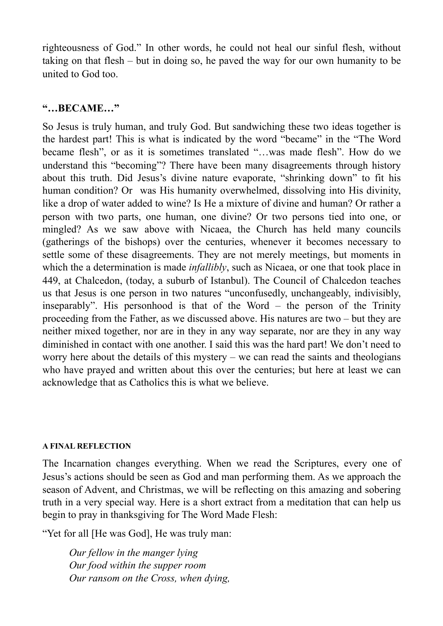righteousness of God." In other words, he could not heal our sinful flesh, without taking on that flesh – but in doing so, he paved the way for our own humanity to be united to God too.

### **"…BECAME…"**

So Jesus is truly human, and truly God. But sandwiching these two ideas together is the hardest part! This is what is indicated by the word "became" in the "The Word became flesh", or as it is sometimes translated "…was made flesh". How do we understand this "becoming"? There have been many disagreements through history about this truth. Did Jesus's divine nature evaporate, "shrinking down" to fit his human condition? Or was His humanity overwhelmed, dissolving into His divinity, like a drop of water added to wine? Is He a mixture of divine and human? Or rather a person with two parts, one human, one divine? Or two persons tied into one, or mingled? As we saw above with Nicaea, the Church has held many councils (gatherings of the bishops) over the centuries, whenever it becomes necessary to settle some of these disagreements. They are not merely meetings, but moments in which the a determination is made *infallibly*, such as Nicaea, or one that took place in 449, at Chalcedon, (today, a suburb of Istanbul). The Council of Chalcedon teaches us that Jesus is one person in two natures "unconfusedly, unchangeably, indivisibly, inseparably". His personhood is that of the Word – the person of the Trinity proceeding from the Father, as we discussed above. His natures are two – but they are neither mixed together, nor are in they in any way separate, nor are they in any way diminished in contact with one another. I said this was the hard part! We don't need to worry here about the details of this mystery – we can read the saints and theologians who have prayed and written about this over the centuries; but here at least we can acknowledge that as Catholics this is what we believe.

#### **A FINAL REFLECTION**

The Incarnation changes everything. When we read the Scriptures, every one of Jesus's actions should be seen as God and man performing them. As we approach the season of Advent, and Christmas, we will be reflecting on this amazing and sobering truth in a very special way. Here is a short extract from a meditation that can help us begin to pray in thanksgiving for The Word Made Flesh:

"Yet for all [He was God], He was truly man:

*Our fellow in the manger lying Our food within the supper room Our ransom on the Cross, when dying,*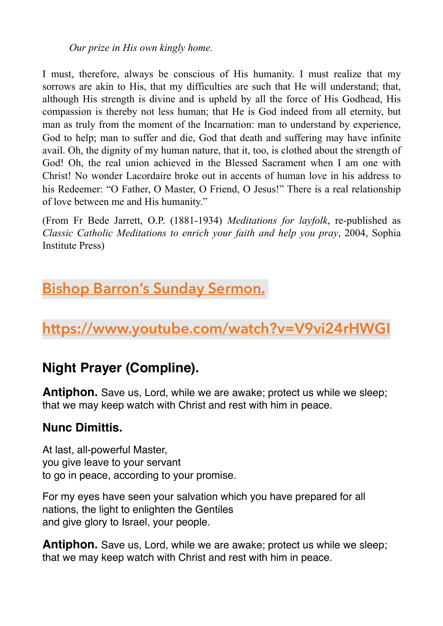*Our prize in His own kingly home.* 

I must, therefore, always be conscious of His humanity. I must realize that my sorrows are akin to His, that my difficulties are such that He will understand; that, although His strength is divine and is upheld by all the force of His Godhead, His compassion is thereby not less human; that He is God indeed from all eternity, but man as truly from the moment of the Incarnation: man to understand by experience, God to help; man to suffer and die, God that death and suffering may have infinite avail. Oh, the dignity of my human nature, that it, too, is clothed about the strength of God! Oh, the real union achieved in the Blessed Sacrament when I am one with Christ! No wonder Lacordaire broke out in accents of human love in his address to his Redeemer: "O Father, O Master, O Friend, O Jesus!" There is a real relationship of love between me and His humanity."

(From Fr Bede Jarrett, O.P. (1881-1934) *Meditations for layfolk*, re-published as *Classic Catholic Meditations to enrich your faith and help you pray*, 2004, Sophia Institute Press)

# **Bishop Barron's Sunday Sermon.**

**[https://www.youtube.com/watch?v=V9vi24rHWGI](https://ac.wordonfire.org/lt.php?s=3bae37ebd1ebb28efd4ba90fec2e1c08&i=5443A10835A137A1307714)**

# **Night Prayer (Compline).**

**Antiphon.** Save us, Lord, while we are awake; protect us while we sleep; that we may keep watch with Christ and rest with him in peace.

### **Nunc Dimittis.**

At last, all-powerful Master, you give leave to your servant to go in peace, according to your promise.

For my eyes have seen your salvation which you have prepared for all nations, the light to enlighten the Gentiles and give glory to Israel, your people.

**Antiphon.** Save us, Lord, while we are awake; protect us while we sleep; that we may keep watch with Christ and rest with him in peace.